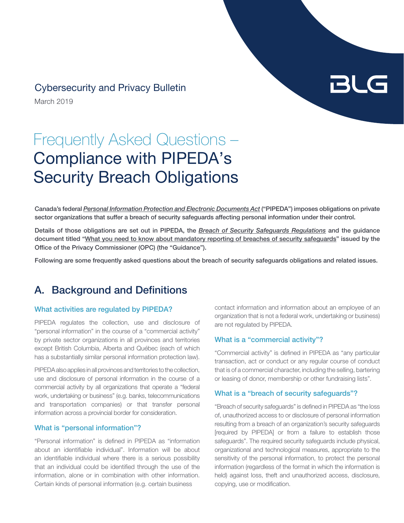# Cybersecurity and Privacy Bulletin

March 2019

# Frequently Asked Questions – Compliance with PIPEDA's Security Breach Obligations

Canada's federal *[Personal Information Protection and Electronic Documents Act](http://laws-lois.justice.gc.ca/eng/acts/P-8.6/index.html)* ("PIPEDA") imposes obligations on private sector organizations that suffer a breach of security safeguards affecting personal information under their control.

Details of those obligations are set out in PIPEDA, the *[Breach of Security Safeguards Regulations](http://www.gazette.gc.ca/rp-pr/p2/2018/2018-04-18/html/sor-dors64-eng.html)* and the guidance document titled "[What you need to know about mandatory reporting of breaches of security safeguards"](https://www.priv.gc.ca/en/privacy-topics/privacy-breaches/respond-to-a-privacy-breach-at-your-business/gd_pb_201810/) issued by the Office of the Privacy Commissioner (OPC) (the "Guidance").

Following are some frequently asked questions about the breach of security safeguards obligations and related issues.

# A. Background and Definitions

## What activities are regulated by PIPEDA?

PIPEDA regulates the collection, use and disclosure of "personal information" in the course of a "commercial activity" by private sector organizations in all provinces and territories except British Columbia, Alberta and Québec (each of which has a substantially similar personal information protection law).

PIPEDA also applies in all provinces and territories to the collection, use and disclosure of personal information in the course of a commercial activity by all organizations that operate a "federal work, undertaking or business" (e.g. banks, telecommunications and transportation companies) or that transfer personal information across a provincial border for consideration.

# What is "personal information"?

"Personal information" is defined in PIPEDA as "information about an identifiable individual". Information will be about an identifiable individual where there is a serious possibility that an individual could be identified through the use of the information, alone or in combination with other information. Certain kinds of personal information (e.g. certain business

contact information and information about an employee of an organization that is not a federal work, undertaking or business) are not regulated by PIPEDA.

BLG

## What is a "commercial activity"?

"Commercial activity" is defined in PIPEDA as "any particular transaction, act or conduct or any regular course of conduct that is of a commercial character, including the selling, bartering or leasing of donor, membership or other fundraising lists".

## What is a "breach of security safeguards"?

"Breach of security safeguards" is defined in PIPEDA as "the loss of, unauthorized access to or disclosure of personal information resulting from a breach of an organization's security safeguards [required by PIPEDA] or from a failure to establish those safeguards". The required security safeguards include physical, organizational and technological measures, appropriate to the sensitivity of the personal information, to protect the personal information (regardless of the format in which the information is held) against loss, theft and unauthorized access, disclosure, copying, use or modification.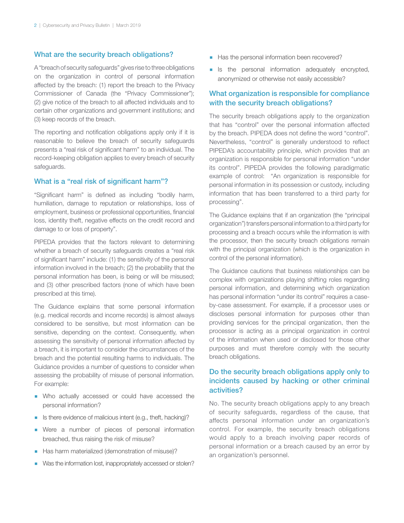## What are the security breach obligations?

A "breach of security safeguards" gives rise to three obligations on the organization in control of personal information affected by the breach: (1) report the breach to the Privacy Commissioner of Canada (the "Privacy Commissioner"); (2) give notice of the breach to all affected individuals and to certain other organizations and government institutions; and (3) keep records of the breach.

The reporting and notification obligations apply only if it is reasonable to believe the breach of security safeguards presents a "real risk of significant harm" to an individual. The record-keeping obligation applies to every breach of security safeguards.

## What is a "real risk of significant harm"?

"Significant harm" is defined as including "bodily harm, humiliation, damage to reputation or relationships, loss of employment, business or professional opportunities, financial loss, identity theft, negative effects on the credit record and damage to or loss of property".

PIPEDA provides that the factors relevant to determining whether a breach of security safeguards creates a "real risk of significant harm" include: (1) the sensitivity of the personal information involved in the breach; (2) the probability that the personal information has been, is being or will be misused; and (3) other prescribed factors (none of which have been prescribed at this time).

The Guidance explains that some personal information (e.g. medical records and income records) is almost always considered to be sensitive, but most information can be sensitive, depending on the context. Consequently, when assessing the sensitivity of personal information affected by a breach, it is important to consider the circumstances of the breach and the potential resulting harms to individuals. The Guidance provides a number of questions to consider when assessing the probability of misuse of personal information. For example:

- **Who actually accessed or could have accessed the** personal information?
- **B** Is there evidence of malicious intent (e.g., theft, hacking)?
- Were a number of pieces of personal information breached, thus raising the risk of misuse?
- Has harm materialized (demonstration of misuse)?
- Was the information lost, inappropriately accessed or stolen?
- Has the personal information been recovered?
- **E** Is the personal information adequately encrypted, anonymized or otherwise not easily accessible?

# What organization is responsible for compliance with the security breach obligations?

The security breach obligations apply to the organization that has "control" over the personal information affected by the breach. PIPEDA does not define the word "control". Nevertheless, "control" is generally understood to reflect PIPEDA's accountability principle, which provides that an organization is responsible for personal information "under its control". PIPEDA provides the following paradigmatic example of control: "An organization is responsible for personal information in its possession or custody, including information that has been transferred to a third party for processing".

The Guidance explains that if an organization (the "principal organization") transfers personal information to a third party for processing and a breach occurs while the information is with the processor, then the security breach obligations remain with the principal organization (which is the organization in control of the personal information).

The Guidance cautions that business relationships can be complex with organizations playing shifting roles regarding personal information, and determining which organization has personal information "under its control" requires a caseby-case assessment. For example, if a processor uses or discloses personal information for purposes other than providing services for the principal organization, then the processor is acting as a principal organization in control of the information when used or disclosed for those other purposes and must therefore comply with the security breach obligations.

# Do the security breach obligations apply only to incidents caused by hacking or other criminal activities?

No. The security breach obligations apply to any breach of security safeguards, regardless of the cause, that affects personal information under an organization's control. For example, the security breach obligations would apply to a breach involving paper records of personal information or a breach caused by an error by an organization's personnel.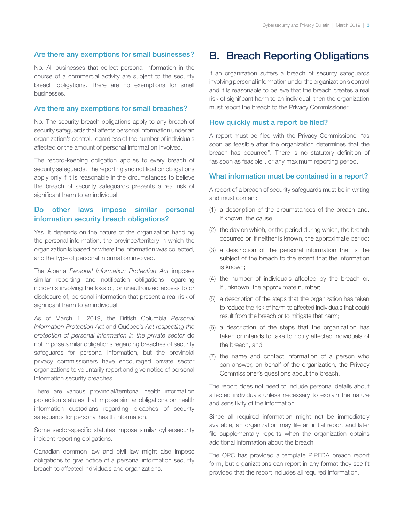## Are there any exemptions for small businesses?

No. All businesses that collect personal information in the course of a commercial activity are subject to the security breach obligations. There are no exemptions for small businesses.

## Are there any exemptions for small breaches?

No. The security breach obligations apply to any breach of security safeguards that affects personal information under an organization's control, regardless of the number of individuals affected or the amount of personal information involved.

The record-keeping obligation applies to every breach of security safeguards. The reporting and notification obligations apply only if it is reasonable in the circumstances to believe the breach of security safeguards presents a real risk of significant harm to an individual.

# Do other laws impose similar personal information security breach obligations?

Yes. It depends on the nature of the organization handling the personal information, the province/territory in which the organization is based or where the information was collected, and the type of personal information involved.

The Alberta *Personal Information Protection Act* imposes similar reporting and notification obligations regarding incidents involving the loss of, or unauthorized access to or disclosure of, personal information that present a real risk of significant harm to an individual.

As of March 1, 2019, the British Columbia *Personal Information Protection Act* and Québec's *Act respecting the protection of personal information in the private sector* do not impose similar obligations regarding breaches of security safeguards for personal information, but the provincial privacy commissioners have encouraged private sector organizations to voluntarily report and give notice of personal information security breaches.

There are various provincial/territorial health information protection statutes that impose similar obligations on health information custodians regarding breaches of security safeguards for personal health information.

Some sector-specific statutes impose similar cybersecurity incident reporting obligations.

Canadian common law and civil law might also impose obligations to give notice of a personal information security breach to affected individuals and organizations.

# B. Breach Reporting Obligations

If an organization suffers a breach of security safeguards involving personal information under the organization's control and it is reasonable to believe that the breach creates a real risk of significant harm to an individual, then the organization must report the breach to the Privacy Commissioner.

#### How quickly must a report be filed?

A report must be filed with the Privacy Commissioner "as soon as feasible after the organization determines that the breach has occurred". There is no statutory definition of "as soon as feasible", or any maximum reporting period.

#### What information must be contained in a report?

A report of a breach of security safeguards must be in writing and must contain:

- (1) a description of the circumstances of the breach and, if known, the cause;
- (2) the day on which, or the period during which, the breach occurred or, if neither is known, the approximate period;
- (3) a description of the personal information that is the subject of the breach to the extent that the information is known;
- (4) the number of individuals affected by the breach or, if unknown, the approximate number;
- (5) a description of the steps that the organization has taken to reduce the risk of harm to affected individuals that could result from the breach or to mitigate that harm;
- (6) a description of the steps that the organization has taken or intends to take to notify affected individuals of the breach; and
- (7) the name and contact information of a person who can answer, on behalf of the organization, the Privacy Commissioner's questions about the breach.

The report does not need to include personal details about affected individuals unless necessary to explain the nature and sensitivity of the information.

Since all required information might not be immediately available, an organization may file an initial report and later file supplementary reports when the organization obtains additional information about the breach.

The OPC has provided a template PIPEDA breach report form, but organizations can report in any format they see fit provided that the report includes all required information.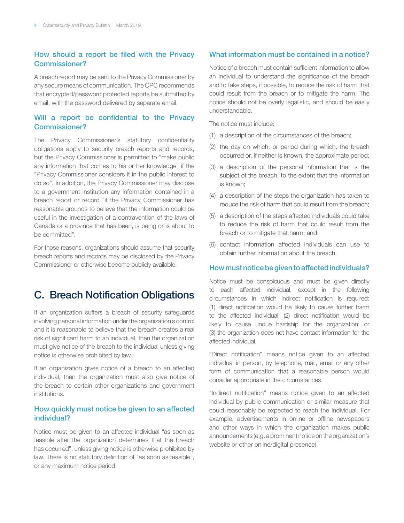# How should a report be filed with the Privacy Commissioner?

A breach report may be sent to the Privacy Commissioner by any secure means of communication. The OPC recommends that encrypted/password protected reports be submitted by email, with the password delivered by separate email.

# Will a report be confidential to the Privacy Commissioner?

The Privacy Commissioner's statutory confidentiality obligations apply to security breach reports and records, but the Privacy Commissioner is permitted to "make public any information that comes to his or her knowledge" if the "Privacy Commissioner considers it in the public interest to do so". In addition, the Privacy Commissioner may disclose to a government institution any information contained in a breach report or record "if the Privacy Commissioner has reasonable grounds to believe that the information could be useful in the investigation of a contravention of the laws of Canada or a province that has been, is being or is about to be committed".

For those reasons, organizations should assume that security breach reports and records may be disclosed by the Privacy Commissioner or otherwise become publicly available.

# C. Breach Notification Obligations

If an organization suffers a breach of security safeguards involving personal information under the organization's control and it is reasonable to believe that the breach creates a real risk of significant harm to an individual, then the organization must give notice of the breach to the individual unless giving notice is otherwise prohibited by law.

If an organization gives notice of a breach to an affected individual, then the organization must also give notice of the breach to certain other organizations and government institutions.

# How quickly must notice be given to an affected individual?

Notice must be given to an affected individual "as soon as feasible after the organization determines that the breach has occurred", unless giving notice is otherwise prohibited by law. There is no statutory definition of "as soon as feasible", or any maximum notice period.

## What information must be contained in a notice?

Notice of a breach must contain sufficient information to allow an individual to understand the significance of the breach and to take steps, if possible, to reduce the risk of harm that could result from the breach or to mitigate the harm. The notice should not be overly legalistic, and should be easily understandable.

The notice must include:

- (1) a description of the circumstances of the breach;
- (2) the day on which, or period during which, the breach occurred or, if neither is known, the approximate period;
- (3) a description of the personal information that is the subject of the breach, to the extent that the information is known;
- (4) a description of the steps the organization has taken to reduce the risk of harm that could result from the breach;
- (5) a description of the steps affected individuals could take to reduce the risk of harm that could result from the breach or to mitigate that harm; and
- (6) contact information affected individuals can use to obtain further information about the breach.

#### How must notice be given to affected individuals?

Notice must be conspicuous and must be given directly to each affected individual, except in the following circumstances in which indirect notification is required: (1) direct notification would be likely to cause further harm to the affected individual; (2) direct notification would be likely to cause undue hardship for the organization; or (3) the organization does not have contact information for the affected individual.

"Direct notification" means notice given to an affected individual in person, by telephone, mail, email or any other form of communication that a reasonable person would consider appropriate in the circumstances.

"Indirect notification" means notice given to an affected individual by public communication or similar measure that could reasonably be expected to reach the individual. For example, advertisements in online or offline newspapers and other ways in which the organization makes public announcements (e.g. a prominent notice on the organization's website or other online/digital presence).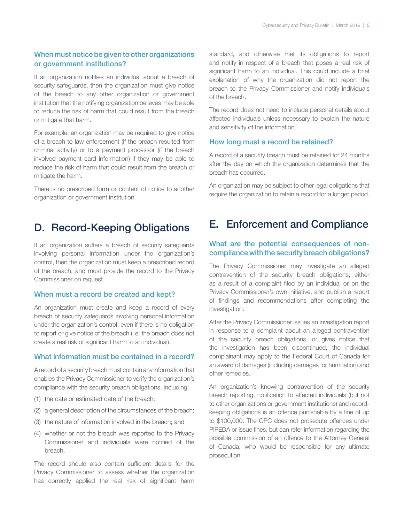# When must notice be given to other organizations or government institutions?

If an organization notifies an individual about a breach of security safeguards, then the organization must give notice of the breach to any other organization or government institution that the notifying organization believes may be able to reduce the risk of harm that could result from the breach or mitigate that harm.

For example, an organization may be required to give notice of a breach to law enforcement (if the breach resulted from criminal activity) or to a payment processor (if the breach involved payment card information) if they may be able to reduce the risk of harm that could result from the breach or mitigate the harm.

There is no prescribed form or content of notice to another organization or government institution.

# D. Record-Keeping Obligations

If an organization suffers a breach of security safeguards involving personal information under the organization's control, then the organization must keep a prescribed record of the breach, and must provide the record to the Privacy Commissioner on request.

## When must a record be created and kept?

An organization must create and keep a record of every breach of security safeguards involving personal information under the organization's control, even if there is no obligation to report or give notice of the breach (i.e. the breach does not create a real risk of significant harm to an individual).

#### What information must be contained in a record?

A record of a security breach must contain any information that enables the Privacy Commissioner to verify the organization's compliance with the security breach obligations, including:

- (1) the date or estimated date of the breach;
- (2) a general description of the circumstances of the breach;
- (3) the nature of information involved in the breach; and
- (4) whether or not the breach was reported to the Privacy Commissioner and individuals were notified of the breach.

The record should also contain sufficient details for the Privacy Commissioner to assess whether the organization has correctly applied the real risk of significant harm standard, and otherwise met its obligations to report and notify in respect of a breach that poses a real risk of significant harm to an individual. This could include a brief explanation of why the organization did not report the breach to the Privacy Commissioner and notify individuals of the breach.

The record does not need to include personal details about affected individuals unless necessary to explain the nature and sensitivity of the information.

## How long must a record be retained?

A record of a security breach must be retained for 24 months after the day on which the organization determines that the breach has occurred.

An organization may be subject to other legal obligations that require the organization to retain a record for a longer period.

# E. Enforcement and Compliance

# What are the potential consequences of noncompliance with the security breach obligations?

The Privacy Commissioner may investigate an alleged contravention of the security breach obligations, either as a result of a complaint filed by an individual or on the Privacy Commissioner's own initiative, and publish a report of findings and recommendations after completing the investigation.

After the Privacy Commissioner issues an investigation report in response to a complaint about an alleged contravention of the security breach obligations, or gives notice that the investigation has been discontinued, the individual complainant may apply to the Federal Court of Canada for an award of damages (including damages for humiliation) and other remedies.

An organization's knowing contravention of the security breach reporting, notification to affected individuals (but not to other organizations or government institutions) and recordkeeping obligations is an offence punishable by a fine of up to \$100,000. The OPC does not prosecute offences under PIPEDA or issue fines, but can refer information regarding the possible commission of an offence to the Attorney General of Canada, who would be responsible for any ultimate prosecution.